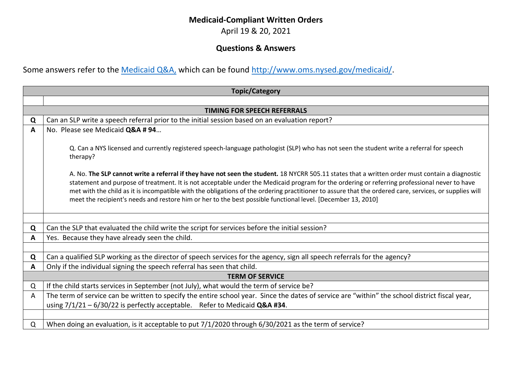## **Medicaid-Compliant Written Orders**

April 19 & 20, 2021

## **Questions & Answers**

Some answers refer to the [Medicaid Q&A,](http://www.oms.nysed.gov/medicaid/q_and_a/q_and_a_combined_revised_12_9_16.pdf) which can be found [http://www.oms.nysed.gov/medicaid/.](http://www.oms.nysed.gov/medicaid/)

| <b>Topic/Category</b>              |                                                                                                                                                                                                                                                                                                                                                                                                                                                                                                                                                                                                                                                                                                                                    |  |
|------------------------------------|------------------------------------------------------------------------------------------------------------------------------------------------------------------------------------------------------------------------------------------------------------------------------------------------------------------------------------------------------------------------------------------------------------------------------------------------------------------------------------------------------------------------------------------------------------------------------------------------------------------------------------------------------------------------------------------------------------------------------------|--|
|                                    |                                                                                                                                                                                                                                                                                                                                                                                                                                                                                                                                                                                                                                                                                                                                    |  |
| <b>TIMING FOR SPEECH REFERRALS</b> |                                                                                                                                                                                                                                                                                                                                                                                                                                                                                                                                                                                                                                                                                                                                    |  |
| Q                                  | Can an SLP write a speech referral prior to the initial session based on an evaluation report?                                                                                                                                                                                                                                                                                                                                                                                                                                                                                                                                                                                                                                     |  |
| A                                  | No. Please see Medicaid Q&A # 94                                                                                                                                                                                                                                                                                                                                                                                                                                                                                                                                                                                                                                                                                                   |  |
|                                    | Q. Can a NYS licensed and currently registered speech-language pathologist (SLP) who has not seen the student write a referral for speech<br>therapy?<br>A. No. The SLP cannot write a referral if they have not seen the student. 18 NYCRR 505.11 states that a written order must contain a diagnostic<br>statement and purpose of treatment. It is not acceptable under the Medicaid program for the ordering or referring professional never to have<br>met with the child as it is incompatible with the obligations of the ordering practitioner to assure that the ordered care, services, or supplies will<br>meet the recipient's needs and restore him or her to the best possible functional level. [December 13, 2010] |  |
|                                    |                                                                                                                                                                                                                                                                                                                                                                                                                                                                                                                                                                                                                                                                                                                                    |  |
| Q                                  | Can the SLP that evaluated the child write the script for services before the initial session?                                                                                                                                                                                                                                                                                                                                                                                                                                                                                                                                                                                                                                     |  |
| A                                  | Yes. Because they have already seen the child.                                                                                                                                                                                                                                                                                                                                                                                                                                                                                                                                                                                                                                                                                     |  |
|                                    |                                                                                                                                                                                                                                                                                                                                                                                                                                                                                                                                                                                                                                                                                                                                    |  |
| Q                                  | Can a qualified SLP working as the director of speech services for the agency, sign all speech referrals for the agency?                                                                                                                                                                                                                                                                                                                                                                                                                                                                                                                                                                                                           |  |
| A                                  | Only if the individual signing the speech referral has seen that child.                                                                                                                                                                                                                                                                                                                                                                                                                                                                                                                                                                                                                                                            |  |
|                                    | <b>TERM OF SERVICE</b>                                                                                                                                                                                                                                                                                                                                                                                                                                                                                                                                                                                                                                                                                                             |  |
| Q                                  | If the child starts services in September (not July), what would the term of service be?                                                                                                                                                                                                                                                                                                                                                                                                                                                                                                                                                                                                                                           |  |
| A                                  | The term of service can be written to specify the entire school year. Since the dates of service are "within" the school district fiscal year,                                                                                                                                                                                                                                                                                                                                                                                                                                                                                                                                                                                     |  |
|                                    | using $7/1/21 - 6/30/22$ is perfectly acceptable. Refer to Medicaid Q&A #34.                                                                                                                                                                                                                                                                                                                                                                                                                                                                                                                                                                                                                                                       |  |
|                                    |                                                                                                                                                                                                                                                                                                                                                                                                                                                                                                                                                                                                                                                                                                                                    |  |
| Q                                  | When doing an evaluation, is it acceptable to put 7/1/2020 through 6/30/2021 as the term of service?                                                                                                                                                                                                                                                                                                                                                                                                                                                                                                                                                                                                                               |  |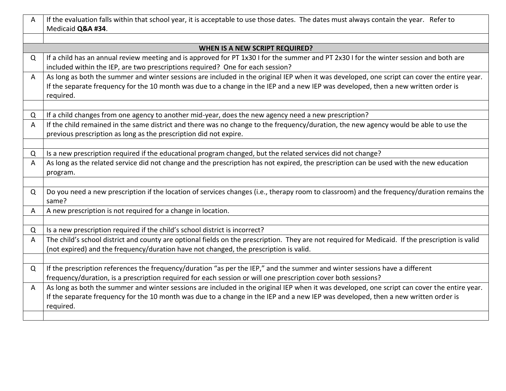| Α                              | If the evaluation falls within that school year, it is acceptable to use those dates. The dates must always contain the year. Refer to<br>Medicaid Q&A #34. |  |  |
|--------------------------------|-------------------------------------------------------------------------------------------------------------------------------------------------------------|--|--|
|                                |                                                                                                                                                             |  |  |
| WHEN IS A NEW SCRIPT REQUIRED? |                                                                                                                                                             |  |  |
| Q                              | If a child has an annual review meeting and is approved for PT 1x30 I for the summer and PT 2x30 I for the winter session and both are                      |  |  |
|                                | included within the IEP, are two prescriptions required? One for each session?                                                                              |  |  |
| A                              | As long as both the summer and winter sessions are included in the original IEP when it was developed, one script can cover the entire year.                |  |  |
|                                | If the separate frequency for the 10 month was due to a change in the IEP and a new IEP was developed, then a new written order is                          |  |  |
|                                | required.                                                                                                                                                   |  |  |
|                                |                                                                                                                                                             |  |  |
| Q                              | If a child changes from one agency to another mid-year, does the new agency need a new prescription?                                                        |  |  |
| A                              | If the child remained in the same district and there was no change to the frequency/duration, the new agency would be able to use the                       |  |  |
|                                | previous prescription as long as the prescription did not expire.                                                                                           |  |  |
|                                |                                                                                                                                                             |  |  |
| Q                              | Is a new prescription required if the educational program changed, but the related services did not change?                                                 |  |  |
| A                              | As long as the related service did not change and the prescription has not expired, the prescription can be used with the new education                     |  |  |
|                                | program.                                                                                                                                                    |  |  |
|                                |                                                                                                                                                             |  |  |
| Q                              | Do you need a new prescription if the location of services changes (i.e., therapy room to classroom) and the frequency/duration remains the<br>same?        |  |  |
| A                              | A new prescription is not required for a change in location.                                                                                                |  |  |
|                                |                                                                                                                                                             |  |  |
| Q                              | Is a new prescription required if the child's school district is incorrect?                                                                                 |  |  |
| A                              | The child's school district and county are optional fields on the prescription. They are not required for Medicaid. If the prescription is valid            |  |  |
|                                | (not expired) and the frequency/duration have not changed, the prescription is valid.                                                                       |  |  |
|                                |                                                                                                                                                             |  |  |
| Q                              | If the prescription references the frequency/duration "as per the IEP," and the summer and winter sessions have a different                                 |  |  |
|                                | frequency/duration, is a prescription required for each session or will one prescription cover both sessions?                                               |  |  |
| A                              | As long as both the summer and winter sessions are included in the original IEP when it was developed, one script can cover the entire year.                |  |  |
|                                | If the separate frequency for the 10 month was due to a change in the IEP and a new IEP was developed, then a new written order is                          |  |  |
|                                | required.                                                                                                                                                   |  |  |
|                                |                                                                                                                                                             |  |  |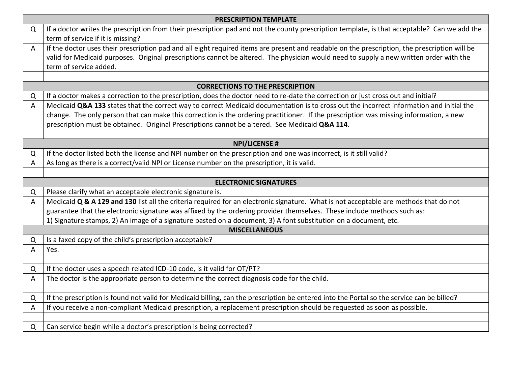|                                        | <b>PRESCRIPTION TEMPLATE</b>                                                                                                                                                      |  |  |
|----------------------------------------|-----------------------------------------------------------------------------------------------------------------------------------------------------------------------------------|--|--|
| Q                                      | If a doctor writes the prescription from their prescription pad and not the county prescription template, is that acceptable? Can we add the<br>term of service if it is missing? |  |  |
| A                                      | If the doctor uses their prescription pad and all eight required items are present and readable on the prescription, the prescription will be                                     |  |  |
|                                        | valid for Medicaid purposes. Original prescriptions cannot be altered. The physician would need to supply a new written order with the                                            |  |  |
|                                        | term of service added.                                                                                                                                                            |  |  |
|                                        |                                                                                                                                                                                   |  |  |
| <b>CORRECTIONS TO THE PRESCRIPTION</b> |                                                                                                                                                                                   |  |  |
| Q                                      | If a doctor makes a correction to the prescription, does the doctor need to re-date the correction or just cross out and initial?                                                 |  |  |
| A                                      | Medicaid Q&A 133 states that the correct way to correct Medicaid documentation is to cross out the incorrect information and initial the                                          |  |  |
|                                        | change. The only person that can make this correction is the ordering practitioner. If the prescription was missing information, a new                                            |  |  |
|                                        | prescription must be obtained. Original Prescriptions cannot be altered. See Medicaid Q&A 114.                                                                                    |  |  |
|                                        | <b>NPI/LICENSE #</b>                                                                                                                                                              |  |  |
| Q                                      | If the doctor listed both the license and NPI number on the prescription and one was incorrect, is it still valid?                                                                |  |  |
| A                                      | As long as there is a correct/valid NPI or License number on the prescription, it is valid.                                                                                       |  |  |
|                                        |                                                                                                                                                                                   |  |  |
|                                        | <b>ELECTRONIC SIGNATURES</b>                                                                                                                                                      |  |  |
| Q                                      | Please clarify what an acceptable electronic signature is.                                                                                                                        |  |  |
| A                                      | Medicaid Q & A 129 and 130 list all the criteria required for an electronic signature. What is not acceptable are methods that do not                                             |  |  |
|                                        | guarantee that the electronic signature was affixed by the ordering provider themselves. These include methods such as:                                                           |  |  |
|                                        | 1) Signature stamps, 2) An image of a signature pasted on a document, 3) A font substitution on a document, etc.                                                                  |  |  |
|                                        | <b>MISCELLANEOUS</b>                                                                                                                                                              |  |  |
| Q                                      | Is a faxed copy of the child's prescription acceptable?                                                                                                                           |  |  |
| A                                      | Yes.                                                                                                                                                                              |  |  |
|                                        |                                                                                                                                                                                   |  |  |
| Q                                      | If the doctor uses a speech related ICD-10 code, is it valid for OT/PT?                                                                                                           |  |  |
| A                                      | The doctor is the appropriate person to determine the correct diagnosis code for the child.                                                                                       |  |  |
|                                        |                                                                                                                                                                                   |  |  |
| Q                                      | If the prescription is found not valid for Medicaid billing, can the prescription be entered into the Portal so the service can be billed?                                        |  |  |
| A                                      | If you receive a non-compliant Medicaid prescription, a replacement prescription should be requested as soon as possible.                                                         |  |  |
|                                        |                                                                                                                                                                                   |  |  |
| Q                                      | Can service begin while a doctor's prescription is being corrected?                                                                                                               |  |  |